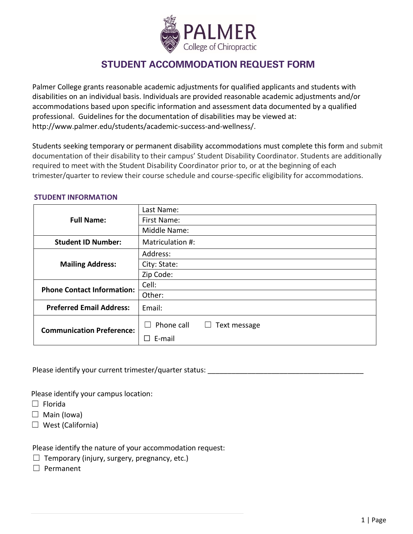

# **STUDENT ACCOMMODATION REQUEST FORM**

Palmer College grants reasonable academic adjustments for qualified applicants and students with disabilities on an individual basis. Individuals are provided reasonable academic adjustments and/or accommodations based upon specific information and assessment data documented by a qualified professional. Guidelines for the documentation of disabilities may be viewed at: http://www.palmer.edu/students/academic-success-and-wellness/.

Students seeking temporary or permanent disability accommodations must complete this form and submit documentation of their disability to their campus' Student Disability Coordinator. Students are additionally required to meet with the Student Disability Coordinator prior to, or at the beginning of each trimester/quarter to review their course schedule and course-specific eligibility for accommodations.

#### **STUDENT INFORMATION**

|                                   | Last Name:                 |
|-----------------------------------|----------------------------|
| <b>Full Name:</b>                 | First Name:                |
|                                   | Middle Name:               |
| <b>Student ID Number:</b>         | Matriculation #:           |
|                                   | Address:                   |
| <b>Mailing Address:</b>           | City: State:               |
|                                   | Zip Code:                  |
| <b>Phone Contact Information:</b> | Cell:                      |
|                                   | Other:                     |
| <b>Preferred Email Address:</b>   | Email:                     |
| <b>Communication Preference:</b>  | Phone call<br>Text message |
|                                   | $\Box$ E-mail              |

Please identify your current trimester/quarter status:

Please identify your campus location:

- ☐ Florida
- $\Box$  Main (lowa)
- $\Box$  West (California)

Please identify the nature of your accommodation request:

- $\Box$  Temporary (injury, surgery, pregnancy, etc.)
- ☐ Permanent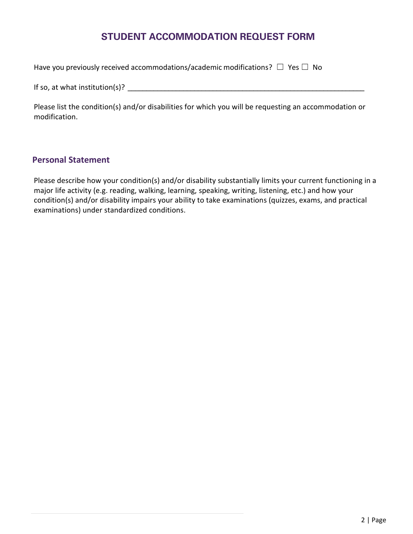# **STUDENT ACCOMMODATION REQUEST FORM**

|  | Have you previously received accommodations/academic modifications? $\Box$ Yes $\Box$ No |  |  |  |
|--|------------------------------------------------------------------------------------------|--|--|--|
|--|------------------------------------------------------------------------------------------|--|--|--|

If so, at what institution(s)?  $\Box$ 

Please list the condition(s) and/or disabilities for which you will be requesting an accommodation or modification.

#### **Personal Statement**

Please describe how your condition(s) and/or disability substantially limits your current functioning in a major life activity (e.g. reading, walking, learning, speaking, writing, listening, etc.) and how your condition(s) and/or disability impairs your ability to take examinations (quizzes, exams, and practical examinations) under standardized conditions.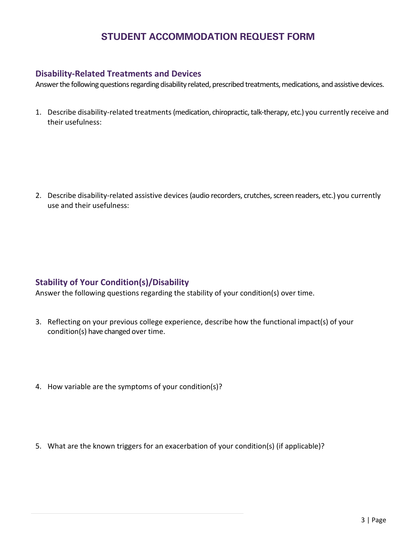# **STUDENT ACCOMMODATION REQUEST FORM**

### **Disability-Related Treatments and Devices**

Answer the following questions regarding disability related, prescribed treatments, medications, and assistive devices.

1. Describe disability-related treatments(medication, chiropractic, talk-therapy, etc.) you currently receive and their usefulness:

2. Describe disability-related assistive devices (audio recorders, crutches, screen readers, etc.) you currently use and their usefulness:

## **Stability of Your Condition(s)/Disability**

Answer the following questions regarding the stability of your condition(s) over time.

- 3. Reflecting on your previous college experience, describe how the functional impact(s) of your condition(s) have changed over time.
- 4. How variable are the symptoms of your condition(s)?
- 5. What are the known triggers for an exacerbation of your condition(s) (if applicable)?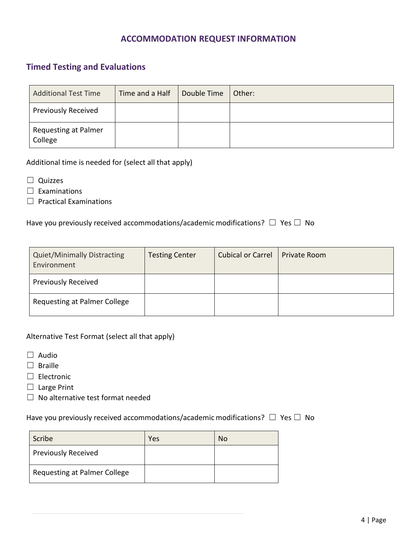### **Timed Testing and Evaluations**

| <b>Additional Test Time</b>     | Time and a Half | Double Time | Other: |
|---------------------------------|-----------------|-------------|--------|
| <b>Previously Received</b>      |                 |             |        |
| Requesting at Palmer<br>College |                 |             |        |

Additional time is needed for (select all that apply)

- □ Quizzes
- $\square$  Examinations
- $\Box$  Practical Examinations

Have you previously received accommodations/academic modifications?  $\Box$  Yes  $\Box$  No

| <b>Quiet/Minimally Distracting</b><br>Environment | <b>Testing Center</b> | <b>Cubical or Carrel</b> | <b>Private Room</b> |
|---------------------------------------------------|-----------------------|--------------------------|---------------------|
| <b>Previously Received</b>                        |                       |                          |                     |
| Requesting at Palmer College                      |                       |                          |                     |

Alternative Test Format (select all that apply)

- ☐ Audio
- ☐ Braille
- ☐ Electronic
- ☐ Large Print
- ☐ No alternative test format needed

Have you previously received accommodations/academic modifications?  $\Box$  Yes  $\Box$  No

| Scribe                              | Yes | No |
|-------------------------------------|-----|----|
| <b>Previously Received</b>          |     |    |
| <b>Requesting at Palmer College</b> |     |    |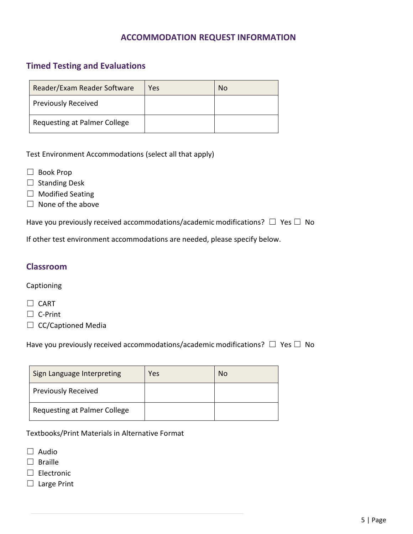## **Timed Testing and Evaluations**

| Reader/Exam Reader Software  | Yes | N <sub>0</sub> |
|------------------------------|-----|----------------|
| <b>Previously Received</b>   |     |                |
| Requesting at Palmer College |     |                |

Test Environment Accommodations (select all that apply)

- ☐ Book Prop
- □ Standing Desk
- ☐ Modified Seating
- $\Box$  None of the above

Have you previously received accommodations/academic modifications?  $\Box$  Yes  $\Box$  No

If other test environment accommodations are needed, please specify below.

#### **Classroom**

#### Captioning

- ☐ CART
- ☐ C-Print
- □ CC/Captioned Media

Have you previously received accommodations/academic modifications?  $\Box$  Yes  $\Box$  No

| Sign Language Interpreting          | Yes | No |
|-------------------------------------|-----|----|
| <b>Previously Received</b>          |     |    |
| <b>Requesting at Palmer College</b> |     |    |

Textbooks/Print Materials in Alternative Format

- ☐ Audio
- □ Braille
- ☐ Electronic
- □ Large Print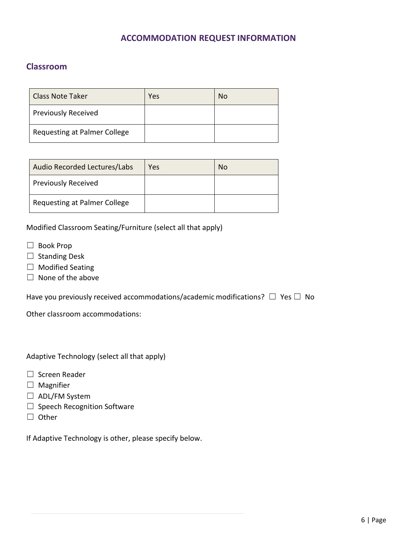### **Classroom**

| <b>Class Note Taker</b>             | Yes | No |
|-------------------------------------|-----|----|
| <b>Previously Received</b>          |     |    |
| <b>Requesting at Palmer College</b> |     |    |

| <b>Audio Recorded Lectures/Labs</b> | Yes | No |
|-------------------------------------|-----|----|
| <b>Previously Received</b>          |     |    |
| Requesting at Palmer College        |     |    |

Modified Classroom Seating/Furniture (select all that apply)

- ☐ Book Prop
- □ Standing Desk
- ☐ Modified Seating
- $\Box$  None of the above

Have you previously received accommodations/academic modifications?  $\Box$  Yes  $\Box$  No

Other classroom accommodations:

Adaptive Technology (select all that apply)

- ☐ Screen Reader
- ☐ Magnifier
- ☐ ADL/FM System
- $\Box$  Speech Recognition Software
- ☐ Other

If Adaptive Technology is other, please specify below.